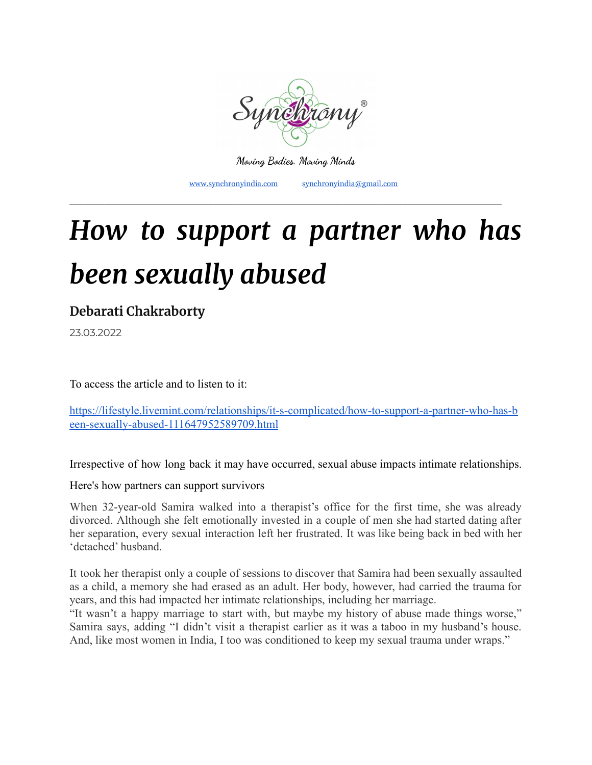

**Moving Bodies. Moving Minds**

\_\_\_\_\_\_\_\_\_\_\_\_\_\_\_\_\_\_\_\_\_\_\_\_\_\_\_\_\_\_\_\_\_\_\_\_\_\_\_\_\_\_\_\_\_\_\_\_\_\_\_\_\_\_\_\_\_\_\_\_\_\_\_\_\_\_\_\_\_\_\_\_\_\_\_\_\_\_\_\_\_\_\_\_\_\_\_

[www.synchronyindia.com](http://www.synchronyindia.com) [synchronyindia@gmail.com](mailto:synchronyindia@gmail.com)

# *How to support a partner who has been sexually abused*

**Debarati [Chakraborty](https://lifestyle.livemint.com/author/Debarati%20Chakraborty)**

23.03.2022

To access the article and to listen to it:

[https://lifestyle.livemint.com/relationships/it-s-complicated/how-to-support-a-partner-who-has-b](https://lifestyle.livemint.com/relationships/it-s-complicated/how-to-support-a-partner-who-has-been-sexually-abused-111647952589709.html) [een-sexually-abused-111647952589709.html](https://lifestyle.livemint.com/relationships/it-s-complicated/how-to-support-a-partner-who-has-been-sexually-abused-111647952589709.html)

Irrespective of how long back it may have occurred, sexual abuse impacts intimate relationships.

Here's how partners can support survivors

When 32-year-old Samira walked into a therapist's office for the first time, she was already divorced. Although she felt emotionally invested in a couple of men she had started dating after her separation, every sexual interaction left her frustrated. It was like being back in bed with her 'detached' husband.

It took her therapist only a couple of sessions to discover that Samira had been sexually assaulted as a child, a memory she had erased as an adult. Her body, however, had carried the trauma for years, and this had impacted her intimate relationships, including her marriage.

"It wasn't a happy marriage to start with, but maybe my history of abuse made things worse," Samira says, adding "I didn't visit a therapist earlier as it was a taboo in my husband's house. And, like most women in India, I too was conditioned to keep my sexual trauma under wraps."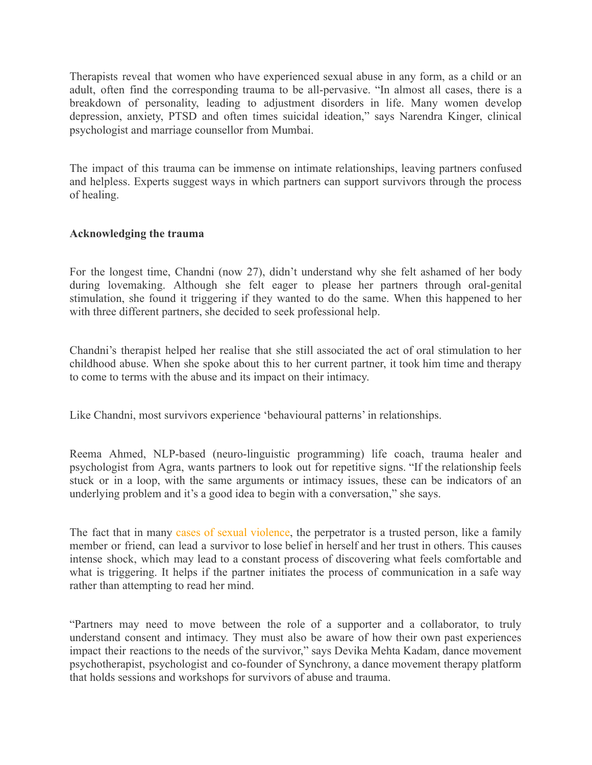Therapists reveal that women who have experienced sexual abuse in any form, as a child or an adult, often find the corresponding trauma to be all-pervasive. "In almost all cases, there is a breakdown of personality, leading to adjustment disorders in life. Many women develop depression, anxiety, PTSD and often times suicidal ideation," says Narendra Kinger, clinical psychologist and marriage counsellor from Mumbai.

The impact of this trauma can be immense on intimate relationships, leaving partners confused and helpless. Experts suggest ways in which partners can support survivors through the process of healing.

# **Acknowledging the trauma**

For the longest time, Chandni (now 27), didn't understand why she felt ashamed of her body during lovemaking. Although she felt eager to please her partners through oral-genital stimulation, she found it triggering if they wanted to do the same. When this happened to her with three different partners, she decided to seek professional help.

Chandni's therapist helped her realise that she still associated the act of oral stimulation to her childhood abuse. When she spoke about this to her current partner, it took him time and therapy to come to terms with the abuse and its impact on their intimacy.

Like Chandni, most survivors experience 'behavioural patterns' in relationships.

Reema Ahmed, NLP-based (neuro-linguistic programming) life coach, trauma healer and psychologist from Agra, wants partners to look out for repetitive signs. "If the relationship feels stuck or in a loop, with the same arguments or intimacy issues, these can be indicators of an underlying problem and it's a good idea to begin with a conversation," she says.

The fact that in many cases of sexual [violence,](https://lifestyle.livemint.com/news/talking-point/do-all-victims-of-sexual-abuse-turn-into-abusers-111601554413281.html) the perpetrator is a trusted person, like a family member or friend, can lead a survivor to lose belief in herself and her trust in others. This causes intense shock, which may lead to a constant process of discovering what feels comfortable and what is triggering. It helps if the partner initiates the process of communication in a safe way rather than attempting to read her mind.

"Partners may need to move between the role of a supporter and a collaborator, to truly understand consent and intimacy. They must also be aware of how their own past experiences impact their reactions to the needs of the survivor," says Devika Mehta Kadam, dance movement psychotherapist, psychologist and co-founder of Synchrony, a dance movement therapy platform that holds sessions and workshops for survivors of abuse and trauma.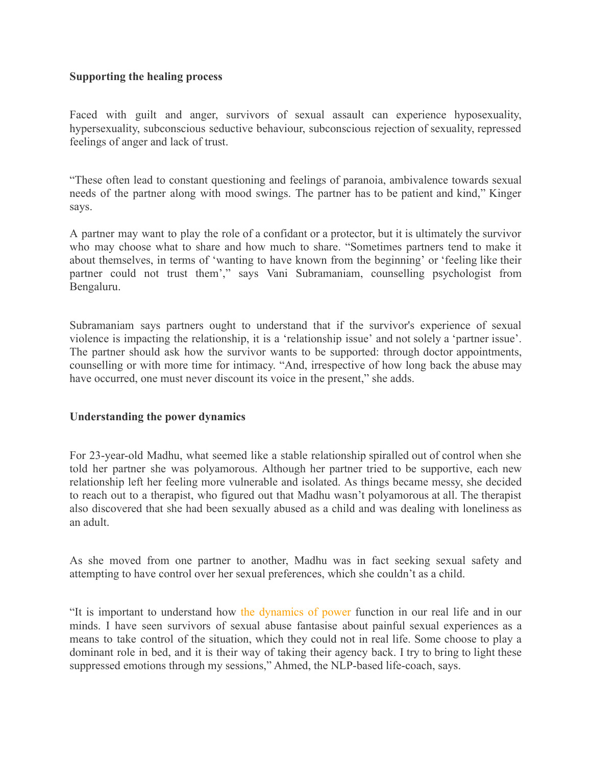# **Supporting the healing process**

Faced with guilt and anger, survivors of sexual assault can experience hyposexuality, hypersexuality, subconscious seductive behaviour, subconscious rejection of sexuality, repressed feelings of anger and lack of trust.

"These often lead to constant questioning and feelings of paranoia, ambivalence towards sexual needs of the partner along with mood swings. The partner has to be patient and kind," Kinger says.

A partner may want to play the role of a confidant or a protector, but it is ultimately the survivor who may choose what to share and how much to share. "Sometimes partners tend to make it about themselves, in terms of 'wanting to have known from the beginning' or 'feeling like their partner could not trust them'," says Vani Subramaniam, counselling psychologist from Bengaluru.

Subramaniam says partners ought to understand that if the survivor's experience of sexual violence is impacting the relationship, it is a 'relationship issue' and not solely a 'partner issue'. The partner should ask how the survivor wants to be supported: through doctor appointments, counselling or with more time for intimacy. "And, irrespective of how long back the abuse may have occurred, one must never discount its voice in the present," she adds.

#### **Understanding the power dynamics**

For 23-year-old Madhu, what seemed like a stable relationship spiralled out of control when she told her partner she was polyamorous. Although her partner tried to be supportive, each new relationship left her feeling more vulnerable and isolated. As things became messy, she decided to reach out to a therapist, who figured out that Madhu wasn't polyamorous at all. The therapist also discovered that she had been sexually abused as a child and was dealing with loneliness as an adult.

As she moved from one partner to another, Madhu was in fact seeking sexual safety and attempting to have control over her sexual preferences, which she couldn't as a child.

"It is important to understand how the [dynamics](https://lifestyle.livemint.com/news/opinion/lets-say-it-again-marital-rape-is-not-about-sex-111642689872464.html) of power function in our real life and in our minds. I have seen survivors of sexual abuse fantasise about painful sexual experiences as a means to take control of the situation, which they could not in real life. Some choose to play a dominant role in bed, and it is their way of taking their agency back. I try to bring to light these suppressed emotions through my sessions," Ahmed, the NLP-based life-coach, says.